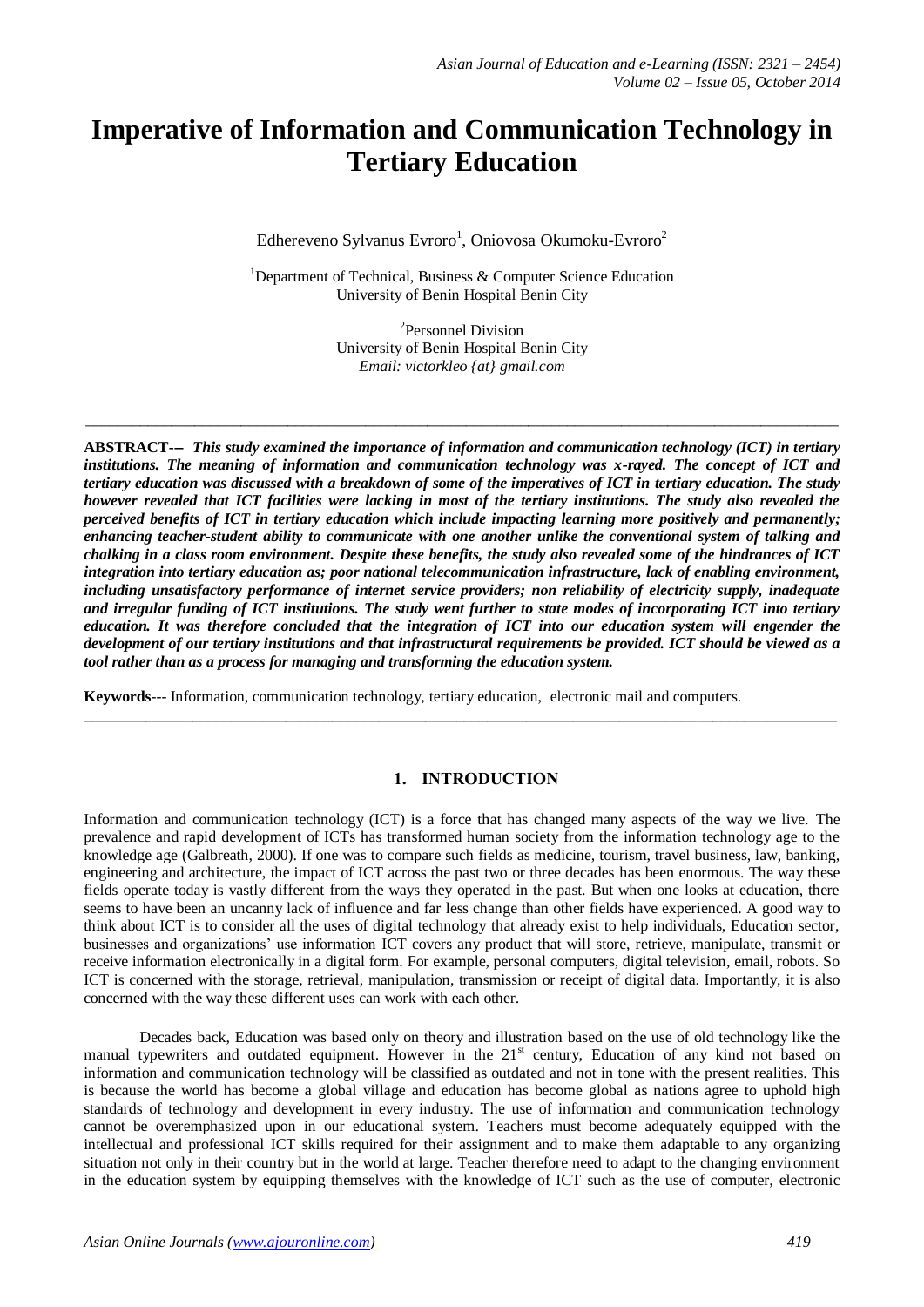# **Imperative of Information and Communication Technology in Tertiary Education**

Edhereveno Sylvanus Evroro<sup>1</sup>, Oniovosa Okumoku-Evroro<sup>2</sup>

<sup>1</sup>Department of Technical, Business  $\&$  Computer Science Education University of Benin Hospital Benin City

> 2 Personnel Division University of Benin Hospital Benin City *Email: victorkleo {at} gmail.com*

 $\_$  ,  $\_$  ,  $\_$  ,  $\_$  ,  $\_$  ,  $\_$  ,  $\_$  ,  $\_$  ,  $\_$  ,  $\_$  ,  $\_$  ,  $\_$  ,  $\_$  ,  $\_$  ,  $\_$  ,  $\_$  ,  $\_$  ,  $\_$  ,  $\_$  ,  $\_$  ,  $\_$  ,  $\_$  ,  $\_$  ,  $\_$  ,  $\_$  ,  $\_$  ,  $\_$  ,  $\_$  ,  $\_$  ,  $\_$  ,  $\_$  ,  $\_$  ,  $\_$  ,  $\_$  ,  $\_$  ,  $\_$  ,  $\_$  ,

**ABSTRACT---** *This study examined the importance of information and communication technology (ICT) in tertiary institutions. The meaning of information and communication technology was x-rayed. The concept of ICT and tertiary education was discussed with a breakdown of some of the imperatives of ICT in tertiary education. The study however revealed that ICT facilities were lacking in most of the tertiary institutions. The study also revealed the perceived benefits of ICT in tertiary education which include impacting learning more positively and permanently; enhancing teacher-student ability to communicate with one another unlike the conventional system of talking and chalking in a class room environment. Despite these benefits, the study also revealed some of the hindrances of ICT integration into tertiary education as; poor national telecommunication infrastructure, lack of enabling environment, including unsatisfactory performance of internet service providers; non reliability of electricity supply, inadequate and irregular funding of ICT institutions. The study went further to state modes of incorporating ICT into tertiary education. It was therefore concluded that the integration of ICT into our education system will engender the development of our tertiary institutions and that infrastructural requirements be provided. ICT should be viewed as a tool rather than as a process for managing and transforming the education system.*

**Keywords**--- Information, communication technology, tertiary education, electronic mail and computers.

# **1. INTRODUCTION**

 $\_$  ,  $\_$  ,  $\_$  ,  $\_$  ,  $\_$  ,  $\_$  ,  $\_$  ,  $\_$  ,  $\_$  ,  $\_$  ,  $\_$  ,  $\_$  ,  $\_$  ,  $\_$  ,  $\_$  ,  $\_$  ,  $\_$  ,  $\_$  ,  $\_$  ,  $\_$  ,  $\_$  ,  $\_$  ,  $\_$  ,  $\_$  ,  $\_$  ,  $\_$  ,  $\_$  ,  $\_$  ,  $\_$  ,  $\_$  ,  $\_$  ,  $\_$  ,  $\_$  ,  $\_$  ,  $\_$  ,  $\_$  ,  $\_$  ,

Information and communication technology (ICT) is a force that has changed many aspects of the way we live. The prevalence and rapid development of ICTs has transformed human society from the information technology age to the knowledge age [\(Galbreath, 2000\)](http://scialert.net/fulltext/?doi=rjit.2010.1.10&org=10#362823_ja). If one was to compare such fields as medicine, tourism, travel business, law, banking, engineering and architecture, the impact of ICT across the past two or three decades has been enormous. The way these fields operate today is vastly different from the ways they operated in the past. But when one looks at education, there seems to have been an uncanny lack of influence and far less change than other fields have experienced. A good way to think about ICT is to consider all the uses of digital technology that already exist to help individuals, Education sector, businesses and organizations' use information ICT covers any product that will store, retrieve, manipulate, transmit or receive information electronically in a digital form. For example, personal computers, digital television, email, robots. So ICT is concerned with the storage, retrieval, manipulation, transmission or receipt of digital data. Importantly, it is also concerned with the way these different uses can work with each other.

Decades back, Education was based only on theory and illustration based on the use of old technology like the manual typewriters and outdated equipment. However in the 21<sup>st</sup> century, Education of any kind not based on information and communication technology will be classified as outdated and not in tone with the present realities. This is because the world has become a global village and education has become global as nations agree to uphold high standards of technology and development in every industry. The use of information and communication technology cannot be overemphasized upon in our educational system. Teachers must become adequately equipped with the intellectual and professional ICT skills required for their assignment and to make them adaptable to any organizing situation not only in their country but in the world at large. Teacher therefore need to adapt to the changing environment in the education system by equipping themselves with the knowledge of ICT such as the use of computer, electronic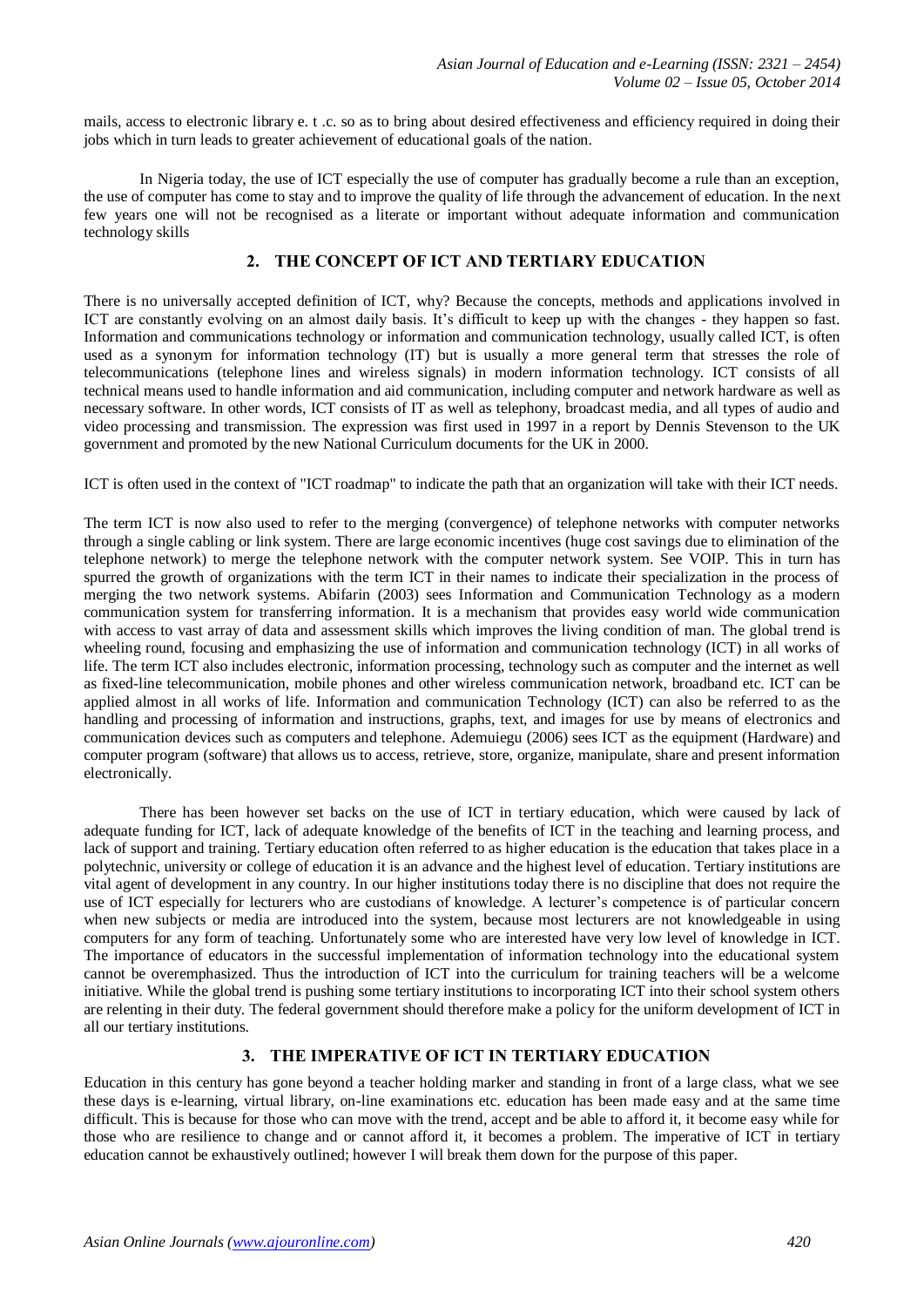mails, access to electronic library e. t .c. so as to bring about desired effectiveness and efficiency required in doing their jobs which in turn leads to greater achievement of educational goals of the nation.

In Nigeria today, the use of ICT especially the use of computer has gradually become a rule than an exception, the use of computer has come to stay and to improve the quality of life through the advancement of education. In the next few years one will not be recognised as a literate or important without adequate information and communication technology skills

# **2. THE CONCEPT OF ICT AND TERTIARY EDUCATION**

There is no universally accepted definition of ICT, why? Because the concepts, methods and applications involved in ICT are constantly evolving on an almost daily basis. It's difficult to keep up with the changes - they happen so fast. Information and communications technology or information and communication technology, usually called ICT, is often used as a synonym for [information technology](http://en.wikipedia.org/wiki/Information_technology) (IT) but is usually a more general term that stresses the role of [telecommunications](http://en.wikipedia.org/wiki/Telecommunications) (telephone lines and wireless signals) in modern information technology. ICT consists of all technical means used to handle information and aid communication, including computer and network hardware as well as necessary software. In other words, ICT consists of IT as well as telephony, broadcast media, and all types of audio and video processing and transmission. The expression was first used in 1997 in a report by Dennis Stevenson to the UK government and promoted by the new National Curriculum documents for the UK in 2000.

ICT is often used in the context of "ICT roadmap" to indicate the path that an organization will take with their ICT needs.

The term ICT is now also used to refer to the merging (convergence) of telephone networks with computer networks through a single cabling or link system. There are large economic incentives (huge cost savings due to elimination of the telephone network) to merge the telephone network with the computer network system. See [VOIP.](http://en.wikipedia.org/wiki/VOIP) This in turn has spurred the growth of organizations with the term ICT in their names to indicate their specialization in the process of merging the two network systems. Abifarin (2003) sees Information and Communication Technology as a modern communication system for transferring information. It is a mechanism that provides easy world wide communication with access to vast array of data and assessment skills which improves the living condition of man. The global trend is wheeling round, focusing and emphasizing the use of information and communication technology (ICT) in all works of life. The term ICT also includes electronic, information processing, technology such as computer and the internet as well as fixed-line telecommunication, mobile phones and other wireless communication network, broadband etc. ICT can be applied almost in all works of life. Information and communication Technology (ICT) can also be referred to as the handling and processing of information and instructions, graphs, text, and images for use by means of electronics and communication devices such as computers and telephone. Ademuiegu (2006) sees ICT as the equipment (Hardware) and computer program (software) that allows us to access, retrieve, store, organize, manipulate, share and present information electronically.

There has been however set backs on the use of ICT in tertiary education, which were caused by lack of adequate funding for ICT, lack of adequate knowledge of the benefits of ICT in the teaching and learning process, and lack of support and training. Tertiary education often referred to as higher education is the education that takes place in a polytechnic, university or college of education it is an advance and the highest level of education. Tertiary institutions are vital agent of development in any country. In our higher institutions today there is no discipline that does not require the use of ICT especially for lecturers who are custodians of knowledge. A lecturer's competence is of particular concern when new subjects or media are introduced into the system, because most lecturers are not knowledgeable in using computers for any form of teaching. Unfortunately some who are interested have very low level of knowledge in ICT. The importance of educators in the successful implementation of information technology into the educational system cannot be overemphasized. Thus the introduction of ICT into the curriculum for training teachers will be a welcome initiative. While the global trend is pushing some tertiary institutions to incorporating ICT into their school system others are relenting in their duty. The federal government should therefore make a policy for the uniform development of ICT in all our tertiary institutions.

# **3. THE IMPERATIVE OF ICT IN TERTIARY EDUCATION**

Education in this century has gone beyond a teacher holding marker and standing in front of a large class, what we see these days is e-learning, virtual library, on-line examinations etc. education has been made easy and at the same time difficult. This is because for those who can move with the trend, accept and be able to afford it, it become easy while for those who are resilience to change and or cannot afford it, it becomes a problem. The imperative of ICT in tertiary education cannot be exhaustively outlined; however I will break them down for the purpose of this paper.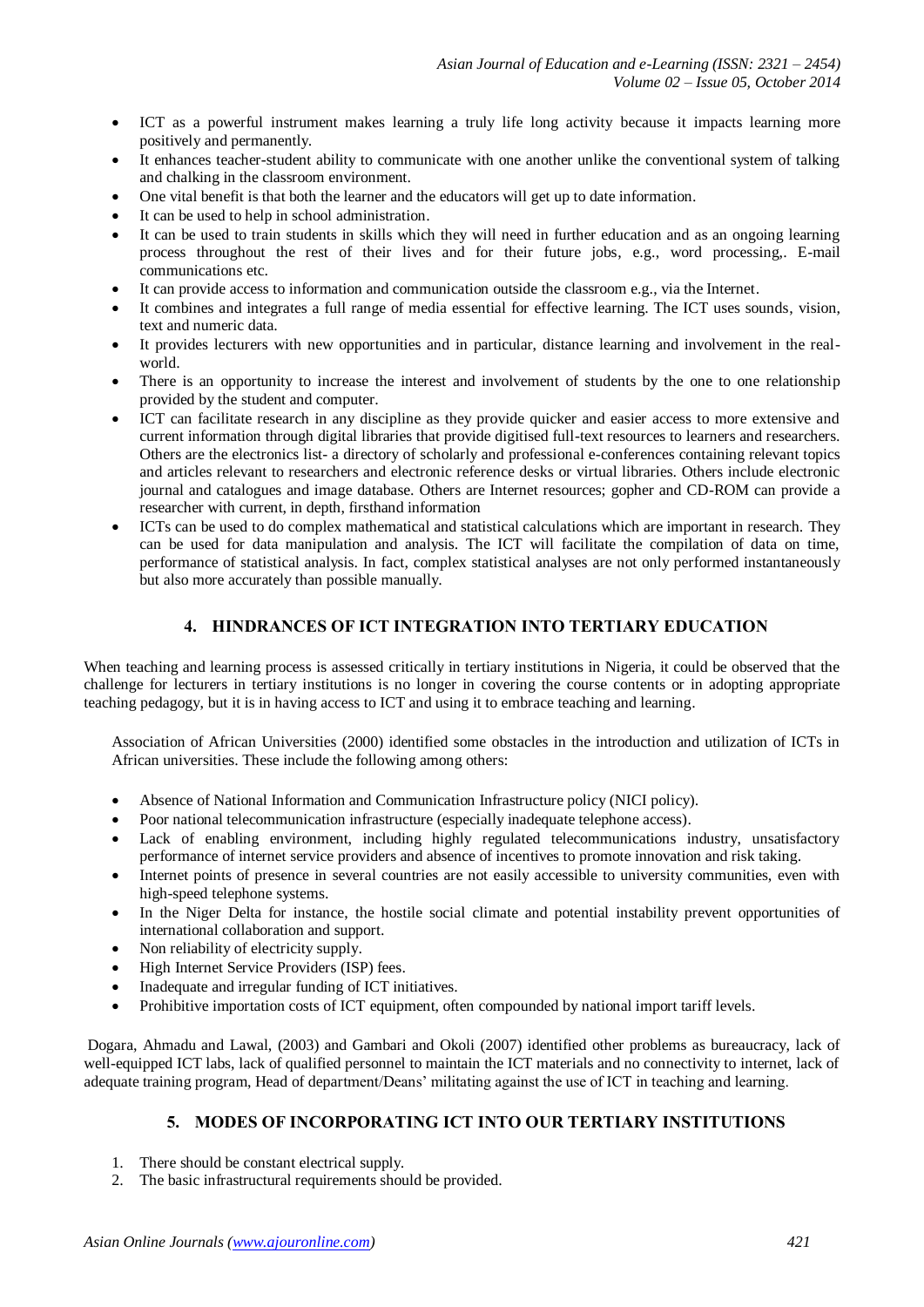- ICT as a powerful instrument makes learning a truly life long activity because it impacts learning more positively and permanently.
- It enhances teacher-student ability to communicate with one another unlike the conventional system of talking and chalking in the classroom environment.
- One vital benefit is that both the learner and the educators will get up to date information.
- It can be used to help in school administration.
- It can be used to train students in skills which they will need in further education and as an ongoing learning process throughout the rest of their lives and for their future jobs, e.g., word processing,. E-mail communications etc.
- It can provide access to information and communication outside the classroom e.g., via the Internet.
- It combines and integrates a full range of media essential for effective learning. The ICT uses sounds, vision, text and numeric data.
- It provides lecturers with new opportunities and in particular, distance learning and involvement in the realworld.
- There is an opportunity to increase the interest and involvement of students by the one to one relationship provided by the student and computer.
- ICT can facilitate research in any discipline as they provide quicker and easier access to more extensive and current information through digital libraries that provide digitised full-text resources to learners and researchers. Others are the electronics list- a directory of scholarly and professional e-conferences containing relevant topics and articles relevant to researchers and electronic reference desks or virtual libraries. Others include electronic journal and catalogues and image database. Others are Internet resources; gopher and CD-ROM can provide a researcher with current, in depth, firsthand information
- ICTs can be used to do complex mathematical and statistical calculations which are important in research. They can be used for data manipulation and analysis. The ICT will facilitate the compilation of data on time, performance of statistical analysis. In fact, complex statistical analyses are not only performed instantaneously but also more accurately than possible manually.

# **4. HINDRANCES OF ICT INTEGRATION INTO TERTIARY EDUCATION**

When teaching and learning process is assessed critically in tertiary institutions in Nigeria, it could be observed that the challenge for lecturers in tertiary institutions is no longer in covering the course contents or in adopting appropriate teaching pedagogy, but it is in having access to ICT and using it to embrace teaching and learning.

[Association of African Universities \(2000\)](http://scialert.net/fulltext/?doi=rjit.2010.1.10&org=10#29014_an) identified some obstacles in the introduction and utilization of ICTs in African universities. These include the following among others:

- Absence of National Information and Communication Infrastructure policy (NICI policy).
- Poor national telecommunication infrastructure (especially inadequate telephone access).
- Lack of enabling environment, including highly regulated telecommunications industry, unsatisfactory performance of internet service providers and absence of incentives to promote innovation and risk taking.
- Internet points of presence in several countries are not easily accessible to university communities, even with high-speed telephone systems.
- In the Niger Delta for instance, the hostile social climate and potential instability prevent opportunities of international collaboration and support.
- Non reliability of electricity supply.
- High Internet Service Providers (ISP) fees.
- Inadequate and irregular funding of ICT initiatives.
- Prohibitive importation costs of ICT equipment, often compounded by national import tariff levels.

[Dogara, Ahmadu and](http://scialert.net/fulltext/?doi=rjit.2010.1.10&org=10#28996_an) Lawal, (2003) and [Gambari and Okoli \(2007\)](http://scialert.net/fulltext/?doi=rjit.2010.1.10&org=10#407592_ja) identified other problems as bureaucracy, lack of well-equipped ICT labs, lack of qualified personnel to maintain the ICT materials and no connectivity to internet, lack of adequate training program, Head of department/Deans' militating against the use of ICT in teaching and learning.

# **5. MODES OF INCORPORATING ICT INTO OUR TERTIARY INSTITUTIONS**

- 1. There should be constant electrical supply.
- 2. The basic infrastructural requirements should be provided.